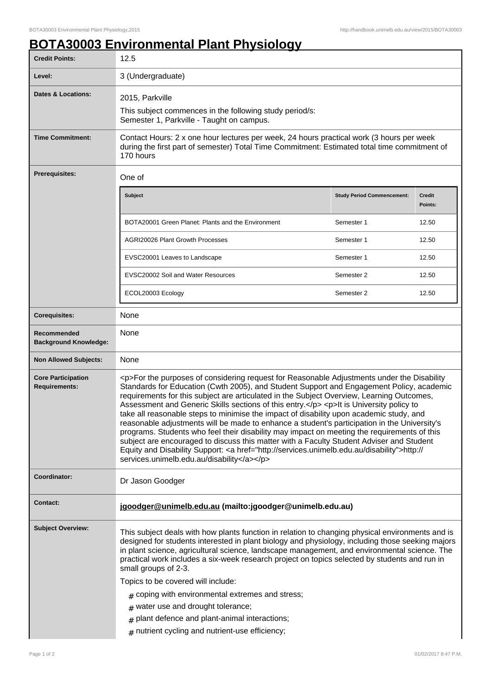## **BOTA30003 Environmental Plant Physiology**

| <b>Credit Points:</b>                             | 12.5                                                                                                                                                                                                                                                                                                                                                                                                                                                                                                                                                                                                                                                                                                                                                                                                                                                                                                                                             |                                   |                   |
|---------------------------------------------------|--------------------------------------------------------------------------------------------------------------------------------------------------------------------------------------------------------------------------------------------------------------------------------------------------------------------------------------------------------------------------------------------------------------------------------------------------------------------------------------------------------------------------------------------------------------------------------------------------------------------------------------------------------------------------------------------------------------------------------------------------------------------------------------------------------------------------------------------------------------------------------------------------------------------------------------------------|-----------------------------------|-------------------|
| Level:                                            | 3 (Undergraduate)                                                                                                                                                                                                                                                                                                                                                                                                                                                                                                                                                                                                                                                                                                                                                                                                                                                                                                                                |                                   |                   |
| <b>Dates &amp; Locations:</b>                     | 2015, Parkville<br>This subject commences in the following study period/s:<br>Semester 1, Parkville - Taught on campus.                                                                                                                                                                                                                                                                                                                                                                                                                                                                                                                                                                                                                                                                                                                                                                                                                          |                                   |                   |
| <b>Time Commitment:</b>                           | Contact Hours: 2 x one hour lectures per week, 24 hours practical work (3 hours per week<br>during the first part of semester) Total Time Commitment: Estimated total time commitment of<br>170 hours                                                                                                                                                                                                                                                                                                                                                                                                                                                                                                                                                                                                                                                                                                                                            |                                   |                   |
| <b>Prerequisites:</b>                             | One of                                                                                                                                                                                                                                                                                                                                                                                                                                                                                                                                                                                                                                                                                                                                                                                                                                                                                                                                           |                                   |                   |
|                                                   | <b>Subject</b>                                                                                                                                                                                                                                                                                                                                                                                                                                                                                                                                                                                                                                                                                                                                                                                                                                                                                                                                   | <b>Study Period Commencement:</b> | Credit<br>Points: |
|                                                   | BOTA20001 Green Planet: Plants and the Environment                                                                                                                                                                                                                                                                                                                                                                                                                                                                                                                                                                                                                                                                                                                                                                                                                                                                                               | Semester 1                        | 12.50             |
|                                                   | <b>AGRI20026 Plant Growth Processes</b>                                                                                                                                                                                                                                                                                                                                                                                                                                                                                                                                                                                                                                                                                                                                                                                                                                                                                                          | Semester 1                        | 12.50             |
|                                                   | EVSC20001 Leaves to Landscape                                                                                                                                                                                                                                                                                                                                                                                                                                                                                                                                                                                                                                                                                                                                                                                                                                                                                                                    | Semester 1                        | 12.50             |
|                                                   | EVSC20002 Soil and Water Resources                                                                                                                                                                                                                                                                                                                                                                                                                                                                                                                                                                                                                                                                                                                                                                                                                                                                                                               | Semester 2                        | 12.50             |
|                                                   | ECOL20003 Ecology                                                                                                                                                                                                                                                                                                                                                                                                                                                                                                                                                                                                                                                                                                                                                                                                                                                                                                                                | Semester 2                        | 12.50             |
| <b>Corequisites:</b>                              | None                                                                                                                                                                                                                                                                                                                                                                                                                                                                                                                                                                                                                                                                                                                                                                                                                                                                                                                                             |                                   |                   |
| Recommended<br><b>Background Knowledge:</b>       | None                                                                                                                                                                                                                                                                                                                                                                                                                                                                                                                                                                                                                                                                                                                                                                                                                                                                                                                                             |                                   |                   |
| <b>Non Allowed Subjects:</b>                      | None                                                                                                                                                                                                                                                                                                                                                                                                                                                                                                                                                                                                                                                                                                                                                                                                                                                                                                                                             |                                   |                   |
| <b>Core Participation</b><br><b>Requirements:</b> | <p>For the purposes of considering request for Reasonable Adjustments under the Disability<br/>Standards for Education (Cwth 2005), and Student Support and Engagement Policy, academic<br/>requirements for this subject are articulated in the Subject Overview, Learning Outcomes,<br/>Assessment and Generic Skills sections of this entry.</p> <p> <p> <h>&gt;It is University policy to<br/>take all reasonable steps to minimise the impact of disability upon academic study, and<br/>reasonable adjustments will be made to enhance a student's participation in the University's<br/>programs. Students who feel their disability may impact on meeting the requirements of this<br/>subject are encouraged to discuss this matter with a Faculty Student Adviser and Student<br/>Equity and Disability Support: &lt; a href="http://services.unimelb.edu.au/disability"&gt;http://<br/>services.unimelb.edu.au/disability</h></p></p> |                                   |                   |
| Coordinator:                                      | Dr Jason Goodger                                                                                                                                                                                                                                                                                                                                                                                                                                                                                                                                                                                                                                                                                                                                                                                                                                                                                                                                 |                                   |                   |
| <b>Contact:</b>                                   | jgoodger@unimelb.edu.au (mailto:jgoodger@unimelb.edu.au)                                                                                                                                                                                                                                                                                                                                                                                                                                                                                                                                                                                                                                                                                                                                                                                                                                                                                         |                                   |                   |
| <b>Subject Overview:</b>                          | This subject deals with how plants function in relation to changing physical environments and is<br>designed for students interested in plant biology and physiology, including those seeking majors<br>in plant science, agricultural science, landscape management, and environmental science. The<br>practical work includes a six-week research project on topics selected by students and run in<br>small groups of 2-3.<br>Topics to be covered will include:                                                                                                                                                                                                                                                                                                                                                                                                                                                                              |                                   |                   |
|                                                   | $#$ coping with environmental extremes and stress;                                                                                                                                                                                                                                                                                                                                                                                                                                                                                                                                                                                                                                                                                                                                                                                                                                                                                               |                                   |                   |
|                                                   | # water use and drought tolerance;                                                                                                                                                                                                                                                                                                                                                                                                                                                                                                                                                                                                                                                                                                                                                                                                                                                                                                               |                                   |                   |
|                                                   | plant defence and plant-animal interactions;<br>#                                                                                                                                                                                                                                                                                                                                                                                                                                                                                                                                                                                                                                                                                                                                                                                                                                                                                                |                                   |                   |
|                                                   | $#$ nutrient cycling and nutrient-use efficiency;                                                                                                                                                                                                                                                                                                                                                                                                                                                                                                                                                                                                                                                                                                                                                                                                                                                                                                |                                   |                   |